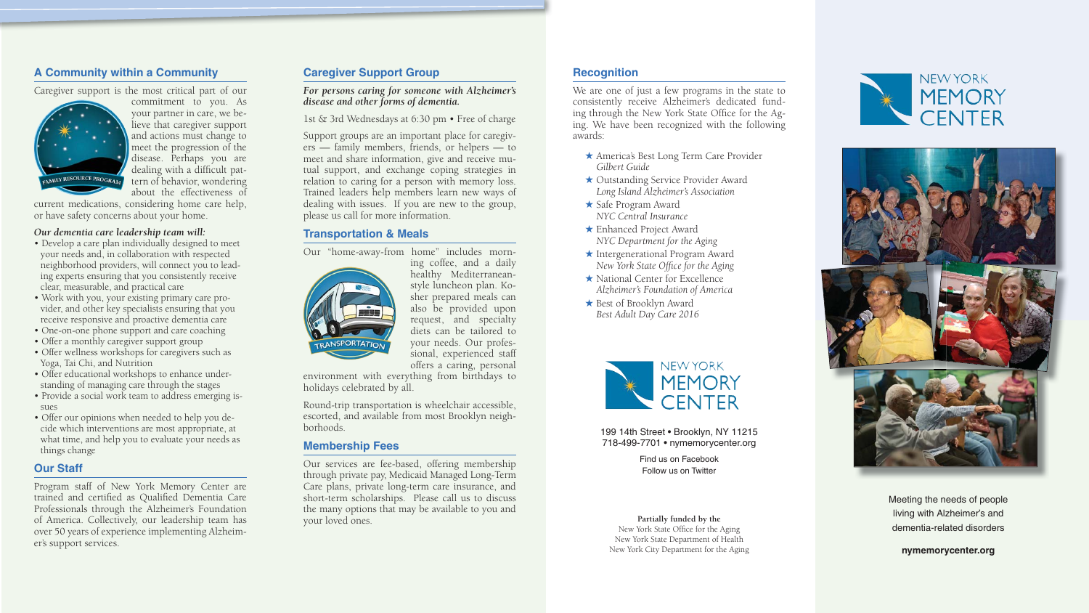# **A Community within a Community**

Caregiver support is the most critical part of our



commitment to you. As your partner in care, we believe that caregiver support and actions must change to meet the progression of the disease. Perhaps you are dealing with a difficult pattern of behavior, wondering about the effectiveness of

current medications, considering home care help, or have safety concerns about your home.

### *Our dementia care leadership team will:*

- Develop a care plan individually designed to meet your needs and, in collaboration with respected neighborhood providers, will connect you to leading experts ensuring that you consistently receive clear, measurable, and practical care
- Work with you, your existing primary care provider, and other key specialists ensuring that you receive responsive and proactive dementia care
- One-on-one phone support and care coaching
- Offer a monthly caregiver support group
- Offer wellness workshops for caregivers such as Yoga, Tai Chi, and Nutrition
- Offer educational workshops to enhance understanding of managing care through the stages
- Provide a social work team to address emerging issues
- Offer our opinions when needed to help you decide which interventions are most appropriate, at what time, and help you to evaluate your needs as things change

## **Our Staff**

Program staff of New York Memory Center are trained and certified as Qualified Dementia Care Professionals through the Alzheimer's Foundation of America. Collectively, our leadership team has over 50 years of experience implementing Alzheimer's support services.

199 14th Street • Brooklyn, NY 11215 718-499-7701 • nymemorycenter.org

New York State Office for the Aging New York State Department of Health New York City Department for the Aging





# **Caregiver Support Group**

*For persons caring for someone with Alzheimer's disease and other forms of dementia.*

1st & 3rd Wednesdays at 6:30 pm • Free of charge

Support groups are an important place for caregivers — family members, friends, or helpers — to meet and share information, give and receive mutual support, and exchange coping strategies in relation to caring for a person with memory loss. Trained leaders help members learn new ways of dealing with issues. If you are new to the group, please us call for more information.

## **Transportation & Meals**

Our "home-away-from home" includes morn-



ing coffee, and a daily healthy Mediterraneanstyle luncheon plan. Kosher prepared meals can also be provided upon request, and specialty diets can be tailored to your needs. Our professional, experienced staff offers a caring, personal

environment with everything from birthdays to holidays celebrated by all.

Round-trip transportation is wheelchair accessible, escorted, and available from most Brooklyn neighborhoods.

## **Membership Fees**

Our services are fee-based, offering membership through private pay, Medicaid Managed Long-Term Care plans, private long-term care insurance, and short-term scholarships. Please call us to discuss the many options that may be available to you and your loved ones.

Find us on FacebookFollow us on Twitter

#### **Partially funded by the**

Meeting the needs of people living with Alzheimer's and dementia-related disorders

**nymemorycenter.org**

# **Recognition**

We are one of just a few programs in the state to consistently receive Alzheimer's dedicated funding through the New York State Office for the Aging. We have been recognized with the following awards:

- ★ America's Best Long Term Care Provider *Gilbert Guide*
- ★ Outstanding Service Provider Award *Long Island Alzheimer's Association*
- ★ Safe Program Award *NYC Central Insurance*
- ★ Enhanced Project Award *NYC Department for the Aging*
- ★ Intergenerational Program Award *New York State Office for the Aging*
- ★ National Center for Excellence *Alzheimer's Foundation of America*
- ★ Best of Brooklyn Award *Best Adult Day Care 2016*